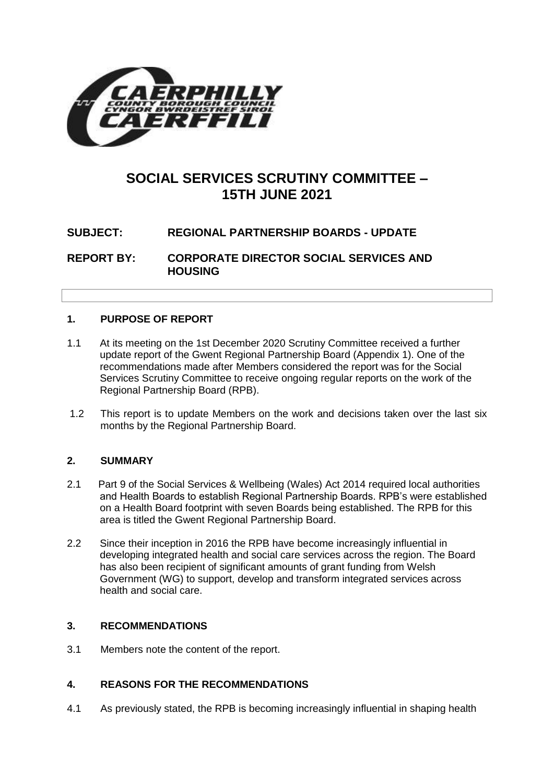

# **SOCIAL SERVICES SCRUTINY COMMITTEE – 15TH JUNE 2021**

## **SUBJECT: REGIONAL PARTNERSHIP BOARDS - UPDATE**

**REPORT BY: CORPORATE DIRECTOR SOCIAL SERVICES AND HOUSING**

## **1. PURPOSE OF REPORT**

- 1.1 At its meeting on the 1st December 2020 Scrutiny Committee received a further update report of the Gwent Regional Partnership Board (Appendix 1). One of the recommendations made after Members considered the report was for the Social Services Scrutiny Committee to receive ongoing regular reports on the work of the Regional Partnership Board (RPB).
- 1.2 This report is to update Members on the work and decisions taken over the last six months by the Regional Partnership Board.

#### **2. SUMMARY**

- 2.1 Part 9 of the Social Services & Wellbeing (Wales) Act 2014 required local authorities and Health Boards to establish Regional Partnership Boards. RPB's were established on a Health Board footprint with seven Boards being established. The RPB for this area is titled the Gwent Regional Partnership Board.
- 2.2 Since their inception in 2016 the RPB have become increasingly influential in developing integrated health and social care services across the region. The Board has also been recipient of significant amounts of grant funding from Welsh Government (WG) to support, develop and transform integrated services across health and social care.

#### **3. RECOMMENDATIONS**

3.1 Members note the content of the report.

#### **4. REASONS FOR THE RECOMMENDATIONS**

4.1 As previously stated, the RPB is becoming increasingly influential in shaping health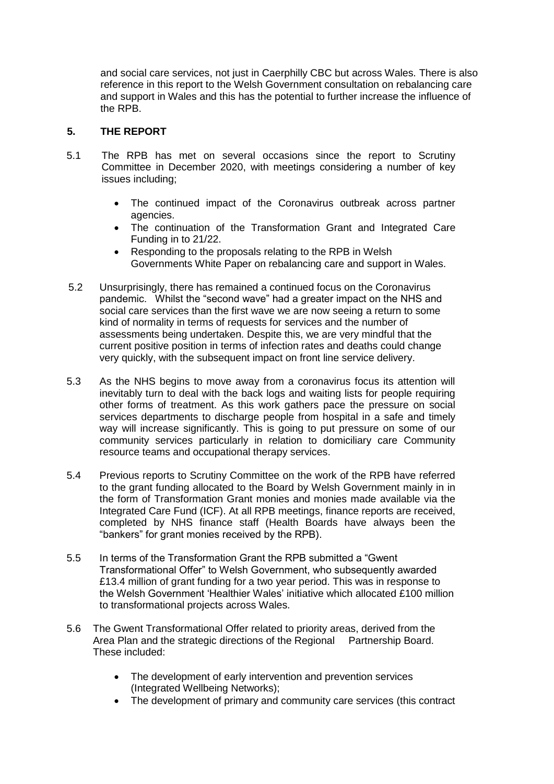and social care services, not just in Caerphilly CBC but across Wales. There is also reference in this report to the Welsh Government consultation on rebalancing care and support in Wales and this has the potential to further increase the influence of the RPB.

### **5. THE REPORT**

- 5.1 The RPB has met on several occasions since the report to Scrutiny Committee in December 2020, with meetings considering a number of key issues including;
	- The continued impact of the Coronavirus outbreak across partner agencies.
	- The continuation of the Transformation Grant and Integrated Care Funding in to 21/22.
	- Responding to the proposals relating to the RPB in Welsh Governments White Paper on rebalancing care and support in Wales.
- 5.2 Unsurprisingly, there has remained a continued focus on the Coronavirus pandemic. Whilst the "second wave" had a greater impact on the NHS and social care services than the first wave we are now seeing a return to some kind of normality in terms of requests for services and the number of assessments being undertaken. Despite this, we are very mindful that the current positive position in terms of infection rates and deaths could change very quickly, with the subsequent impact on front line service delivery.
- 5.3 As the NHS begins to move away from a coronavirus focus its attention will inevitably turn to deal with the back logs and waiting lists for people requiring other forms of treatment. As this work gathers pace the pressure on social services departments to discharge people from hospital in a safe and timely way will increase significantly. This is going to put pressure on some of our community services particularly in relation to domiciliary care Community resource teams and occupational therapy services.
- 5.4 Previous reports to Scrutiny Committee on the work of the RPB have referred to the grant funding allocated to the Board by Welsh Government mainly in in the form of Transformation Grant monies and monies made available via the Integrated Care Fund (ICF). At all RPB meetings, finance reports are received, completed by NHS finance staff (Health Boards have always been the "bankers" for grant monies received by the RPB).
- 5.5 In terms of the Transformation Grant the RPB submitted a "Gwent Transformational Offer" to Welsh Government, who subsequently awarded £13.4 million of grant funding for a two year period. This was in response to the Welsh Government 'Healthier Wales' initiative which allocated £100 million to transformational projects across Wales.
- 5.6 The Gwent Transformational Offer related to priority areas, derived from the Area Plan and the strategic directions of the Regional Partnership Board. These included:
	- The development of early intervention and prevention services (Integrated Wellbeing Networks);
	- The development of primary and community care services (this contract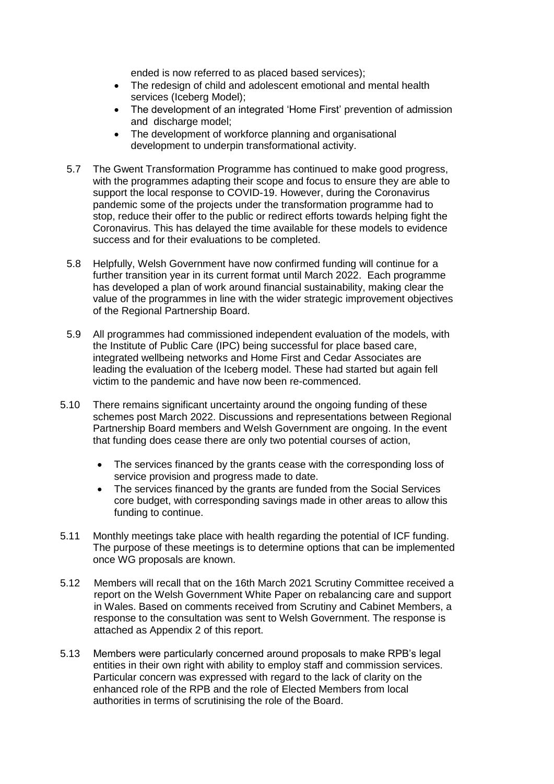ended is now referred to as placed based services);

- The redesign of child and adolescent emotional and mental health services (Iceberg Model);
- The development of an integrated 'Home First' prevention of admission and discharge model;
- The development of workforce planning and organisational development to underpin transformational activity.
- 5.7 The Gwent Transformation Programme has continued to make good progress, with the programmes adapting their scope and focus to ensure they are able to support the local response to COVID-19. However, during the Coronavirus pandemic some of the projects under the transformation programme had to stop, reduce their offer to the public or redirect efforts towards helping fight the Coronavirus. This has delayed the time available for these models to evidence success and for their evaluations to be completed.
- 5.8 Helpfully, Welsh Government have now confirmed funding will continue for a further transition year in its current format until March 2022. Each programme has developed a plan of work around financial sustainability, making clear the value of the programmes in line with the wider strategic improvement objectives of the Regional Partnership Board.
- 5.9 All programmes had commissioned independent evaluation of the models, with the Institute of Public Care (IPC) being successful for place based care, integrated wellbeing networks and Home First and Cedar Associates are leading the evaluation of the Iceberg model. These had started but again fell victim to the pandemic and have now been re-commenced.
- 5.10 There remains significant uncertainty around the ongoing funding of these schemes post March 2022. Discussions and representations between Regional Partnership Board members and Welsh Government are ongoing. In the event that funding does cease there are only two potential courses of action,
	- The services financed by the grants cease with the corresponding loss of service provision and progress made to date.
	- The services financed by the grants are funded from the Social Services core budget, with corresponding savings made in other areas to allow this funding to continue.
- 5.11 Monthly meetings take place with health regarding the potential of ICF funding. The purpose of these meetings is to determine options that can be implemented once WG proposals are known.
- 5.12 Members will recall that on the 16th March 2021 Scrutiny Committee received a report on the Welsh Government White Paper on rebalancing care and support in Wales. Based on comments received from Scrutiny and Cabinet Members, a response to the consultation was sent to Welsh Government. The response is attached as Appendix 2 of this report.
- 5.13 Members were particularly concerned around proposals to make RPB's legal entities in their own right with ability to employ staff and commission services. Particular concern was expressed with regard to the lack of clarity on the enhanced role of the RPB and the role of Elected Members from local authorities in terms of scrutinising the role of the Board.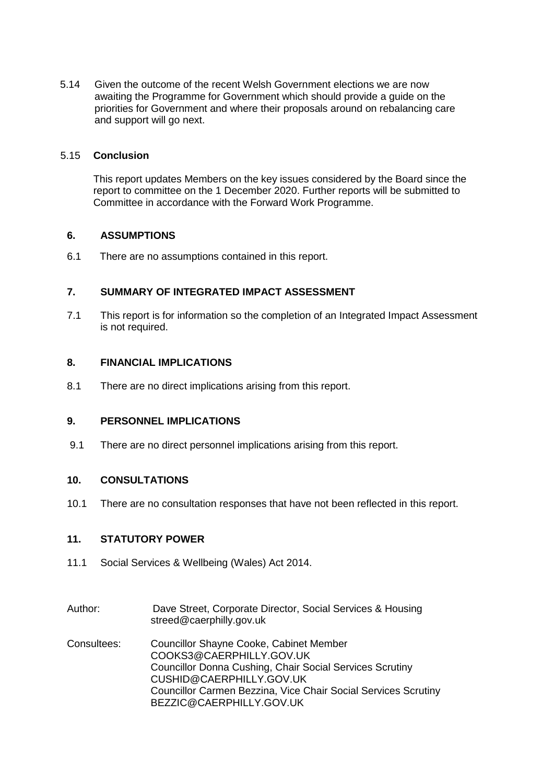5.14 Given the outcome of the recent Welsh Government elections we are now awaiting the Programme for Government which should provide a guide on the priorities for Government and where their proposals around on rebalancing care and support will go next.

#### 5.15 **Conclusion**

This report updates Members on the key issues considered by the Board since the report to committee on the 1 December 2020. Further reports will be submitted to Committee in accordance with the Forward Work Programme.

#### **6. ASSUMPTIONS**

6.1 There are no assumptions contained in this report.

#### **7. SUMMARY OF INTEGRATED IMPACT ASSESSMENT**

7.1 This report is for information so the completion of an Integrated Impact Assessment is not required.

#### **8. FINANCIAL IMPLICATIONS**

8.1 There are no direct implications arising from this report.

#### **9. PERSONNEL IMPLICATIONS**

9.1 There are no direct personnel implications arising from this report.

#### **10. CONSULTATIONS**

10.1 There are no consultation responses that have not been reflected in this report.

#### **11. STATUTORY POWER**

- 11.1 Social Services & Wellbeing (Wales) Act 2014.
- Author: Dave Street, Corporate Director, Social Services & Housing [streed@caerphilly.gov.uk](mailto:streed@caerphilly.gov.uk)
- Consultees: Councillor Shayne Cooke, Cabinet Member [COOKS3@CAERPHILLY.GOV.UK](mailto:COOKS3@CAERPHILLY.GOV.UK) Councillor Donna Cushing, Chair Social Services Scrutiny CUSHID@CAERPHILLY.GOV.UK Councillor Carmen Bezzina, Vice Chair Social Services Scrutiny BEZZIC@CAERPHILLY.GOV.UK